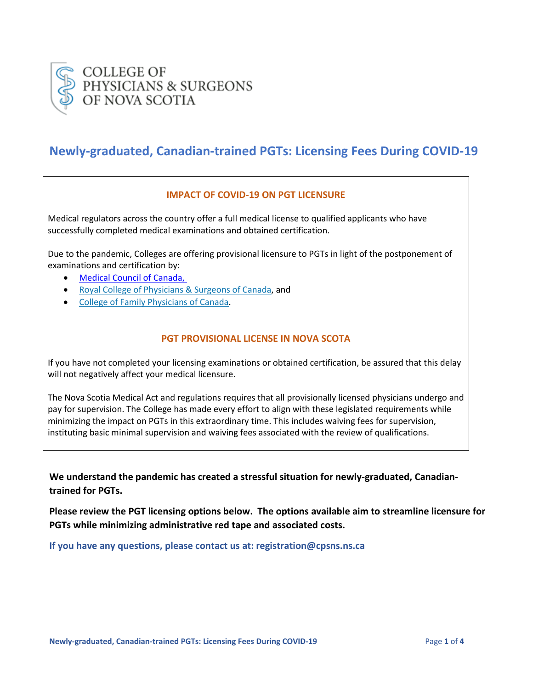

# **Newly-graduated, Canadian-trained PGTs: Licensing Fees During COVID-19**

#### **IMPACT OF COVID-19 ON PGT LICENSURE**

Medical regulators across the country offer a full medical license to qualified applicants who have successfully completed medical examinations and obtained certification.

Due to the pandemic, Colleges are offering provisional licensure to PGTs in light of the postponement of examinations and certification by:

- [Medical Council of Canada,](https://mcc.ca/?cn-reloaded=1)
- [Royal College of Physicians & Surgeons of Canada,](http://www.royalcollege.ca/rcsite/documents/about/update-coronavirus-e) and
- [College of Family Physicians of Canada.](https://www.cfpc.ca/uploadedFiles/Publications/News_Releases/News_Items/CCFP-exam-postponement-re-COVID-19-ENG-Mar-13-20.pdf)

#### **PGT PROVISIONAL LICENSE IN NOVA SCOTA**

If you have not completed your licensing examinations or obtained certification, be assured that this delay will not negatively affect your medical licensure.

The Nova Scotia Medical Act and regulations requires that all provisionally licensed physicians undergo and pay for supervision. The College has made every effort to align with these legislated requirements while minimizing the impact on PGTs in this extraordinary time. This includes waiving fees for supervision, instituting basic minimal supervision and waiving fees associated with the review of qualifications.

**We understand the pandemic has created a stressful situation for newly-graduated, Canadiantrained for PGTs.** 

**Please review the PGT licensing options below. The options available aim to streamline licensure for PGTs while minimizing administrative red tape and associated costs.** 

**If you have any questions, please contact us at: registration@cpsns.ns.ca**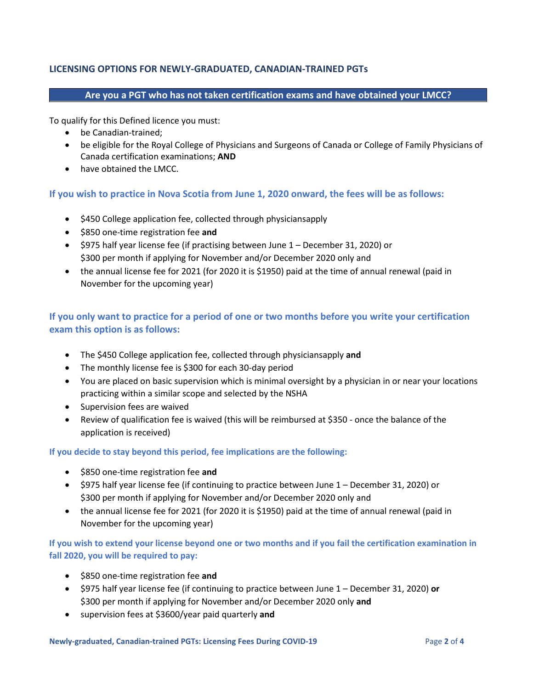### **LICENSING OPTIONS FOR NEWLY-GRADUATED, CANADIAN-TRAINED PGTs**

#### **Are you a PGT who has not taken certification exams and have obtained your LMCC?**

To qualify for this Defined licence you must:

- be Canadian-trained;
- be eligible for the Royal College of Physicians and Surgeons of Canada or College of Family Physicians of Canada certification examinations; **AND**
- have obtained the LMCC.

#### **If you wish to practice in Nova Scotia from June 1, 2020 onward, the fees will be as follows:**

- \$450 College application fee, collected through physiciansapply
- \$850 one-time registration fee **and**
- \$975 half year license fee (if practising between June 1 December 31, 2020) or \$300 per month if applying for November and/or December 2020 only and
- the annual license fee for 2021 (for 2020 it is \$1950) paid at the time of annual renewal (paid in November for the upcoming year)

# **If you only want to practice for a period of one or two months before you write your certification exam this option is as follows:**

- The \$450 College application fee, collected through physiciansapply **and**
- The monthly license fee is \$300 for each 30-day period
- You are placed on basic supervision which is minimal oversight by a physician in or near your locations practicing within a similar scope and selected by the NSHA
- Supervision fees are waived
- Review of qualification fee is waived (this will be reimbursed at \$350 once the balance of the application is received)

#### **If you decide to stay beyond this period, fee implications are the following:**

- \$850 one-time registration fee **and**
- \$975 half year license fee (if continuing to practice between June 1 December 31, 2020) or \$300 per month if applying for November and/or December 2020 only and
- the annual license fee for 2021 (for 2020 it is \$1950) paid at the time of annual renewal (paid in November for the upcoming year)

## **If you wish to extend your license beyond one or two months and if you fail the certification examination in fall 2020, you will be required to pay:**

- \$850 one-time registration fee **and**
- \$975 half year license fee (if continuing to practice between June 1 December 31, 2020) **or** \$300 per month if applying for November and/or December 2020 only **and**
- supervision fees at \$3600/year paid quarterly **and**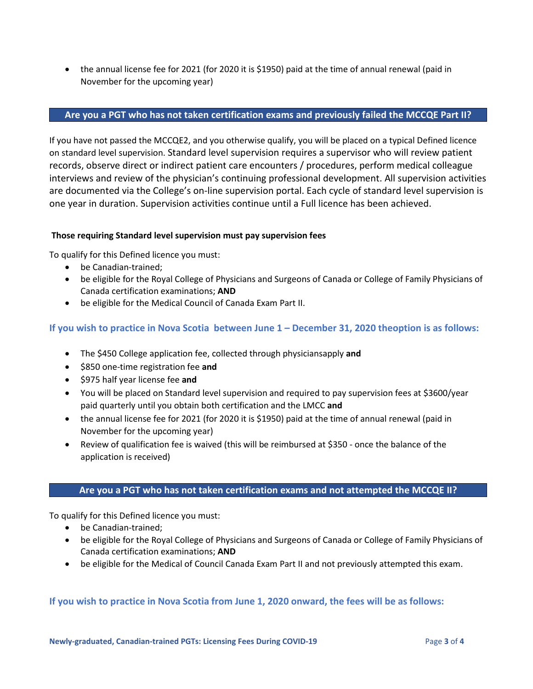• the annual license fee for 2021 (for 2020 it is \$1950) paid at the time of annual renewal (paid in November for the upcoming year)

#### **Are you a PGT who has not taken certification exams and previously failed the MCCQE Part II?**

If you have not passed the MCCQE2, and you otherwise qualify, you will be placed on a typical Defined licence on standard level supervision. Standard level supervision requires a supervisor who will review patient records, observe direct or indirect patient care encounters / procedures, perform medical colleague interviews and review of the physician's continuing professional development. All supervision activities are documented via the College's on-line supervision portal. Each cycle of standard level supervision is one year in duration. Supervision activities continue until a Full licence has been achieved.

#### **Those requiring Standard level supervision must pay supervision fees**

To qualify for this Defined licence you must:

- be Canadian-trained;
- be eligible for the Royal College of Physicians and Surgeons of Canada or College of Family Physicians of Canada certification examinations; **AND**
- be eligible for the Medical Council of Canada Exam Part II.

#### **If you wish to practice in Nova Scotia between June 1 – December 31, 2020 theoption is as follows:**

- The \$450 College application fee, collected through physiciansapply **and**
- \$850 one-time registration fee **and**
- \$975 half year license fee **and**
- You will be placed on Standard level supervision and required to pay supervision fees at \$3600/year paid quarterly until you obtain both certification and the LMCC **and**
- the annual license fee for 2021 (for 2020 it is \$1950) paid at the time of annual renewal (paid in November for the upcoming year)
- Review of qualification fee is waived (this will be reimbursed at \$350 once the balance of the application is received)

#### **Are you a PGT who has not taken certification exams and not attempted the MCCQE II?**

To qualify for this Defined licence you must:

- be Canadian-trained;
- be eligible for the Royal College of Physicians and Surgeons of Canada or College of Family Physicians of Canada certification examinations; **AND**
- be eligible for the Medical of Council Canada Exam Part II and not previously attempted this exam.

#### **If you wish to practice in Nova Scotia from June 1, 2020 onward, the fees will be as follows:**